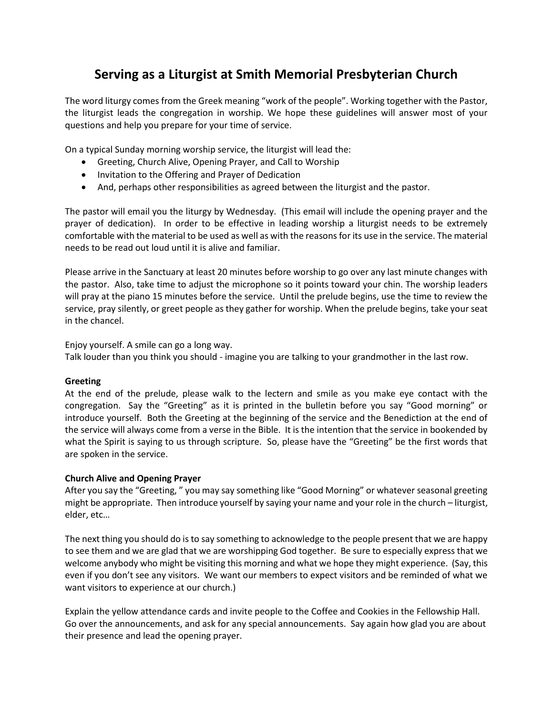# **Serving as a Liturgist at Smith Memorial Presbyterian Church**

The word liturgy comes from the Greek meaning "work of the people". Working together with the Pastor, the liturgist leads the congregation in worship. We hope these guidelines will answer most of your questions and help you prepare for your time of service.

On a typical Sunday morning worship service, the liturgist will lead the:

- Greeting, Church Alive, Opening Prayer, and Call to Worship
- Invitation to the Offering and Prayer of Dedication
- And, perhaps other responsibilities as agreed between the liturgist and the pastor.

The pastor will email you the liturgy by Wednesday. (This email will include the opening prayer and the prayer of dedication). In order to be effective in leading worship a liturgist needs to be extremely comfortable with the material to be used as well as with the reasons for its use in the service. The material needs to be read out loud until it is alive and familiar.

Please arrive in the Sanctuary at least 20 minutes before worship to go over any last minute changes with the pastor. Also, take time to adjust the microphone so it points toward your chin. The worship leaders will pray at the piano 15 minutes before the service. Until the prelude begins, use the time to review the service, pray silently, or greet people as they gather for worship. When the prelude begins, take your seat in the chancel.

Enjoy yourself. A smile can go a long way.

Talk louder than you think you should - imagine you are talking to your grandmother in the last row.

## **Greeting**

At the end of the prelude, please walk to the lectern and smile as you make eye contact with the congregation. Say the "Greeting" as it is printed in the bulletin before you say "Good morning" or introduce yourself. Both the Greeting at the beginning of the service and the Benediction at the end of the service will always come from a verse in the Bible. It is the intention that the service in bookended by what the Spirit is saying to us through scripture. So, please have the "Greeting" be the first words that are spoken in the service.

## **Church Alive and Opening Prayer**

After you say the "Greeting, " you may say something like "Good Morning" or whatever seasonal greeting might be appropriate. Then introduce yourself by saying your name and your role in the church – liturgist, elder, etc…

The next thing you should do is to say something to acknowledge to the people present that we are happy to see them and we are glad that we are worshipping God together. Be sure to especially express that we welcome anybody who might be visiting this morning and what we hope they might experience. (Say, this even if you don't see any visitors. We want our members to expect visitors and be reminded of what we want visitors to experience at our church.)

Explain the yellow attendance cards and invite people to the Coffee and Cookies in the Fellowship Hall. Go over the announcements, and ask for any special announcements. Say again how glad you are about their presence and lead the opening prayer.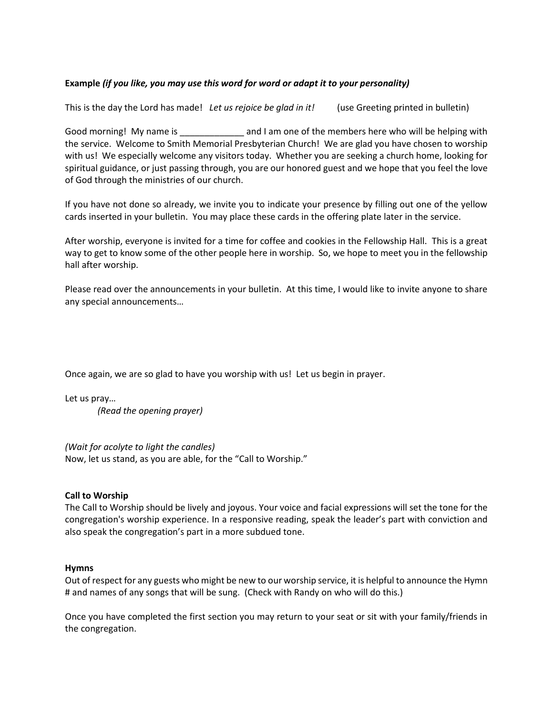## **Example** *(if you like, you may use this word for word or adapt it to your personality)*

This is the day the Lord has made! *Let us rejoice be glad in it!* (use Greeting printed in bulletin)

Good morning! My name is \_\_\_\_\_\_\_\_\_\_\_\_\_\_ and I am one of the members here who will be helping with the service. Welcome to Smith Memorial Presbyterian Church! We are glad you have chosen to worship with us! We especially welcome any visitors today. Whether you are seeking a church home, looking for spiritual guidance, or just passing through, you are our honored guest and we hope that you feel the love of God through the ministries of our church.

If you have not done so already, we invite you to indicate your presence by filling out one of the yellow cards inserted in your bulletin. You may place these cards in the offering plate later in the service.

After worship, everyone is invited for a time for coffee and cookies in the Fellowship Hall. This is a great way to get to know some of the other people here in worship. So, we hope to meet you in the fellowship hall after worship.

Please read over the announcements in your bulletin. At this time, I would like to invite anyone to share any special announcements…

Once again, we are so glad to have you worship with us! Let us begin in prayer.

Let us pray… *(Read the opening prayer)*

*(Wait for acolyte to light the candles)* Now, let us stand, as you are able, for the "Call to Worship."

## **Call to Worship**

The Call to Worship should be lively and joyous. Your voice and facial expressions will set the tone for the congregation's worship experience. In a responsive reading, speak the leader's part with conviction and also speak the congregation's part in a more subdued tone.

### **Hymns**

Out of respect for any guests who might be new to our worship service, it is helpful to announce the Hymn # and names of any songs that will be sung. (Check with Randy on who will do this.)

Once you have completed the first section you may return to your seat or sit with your family/friends in the congregation.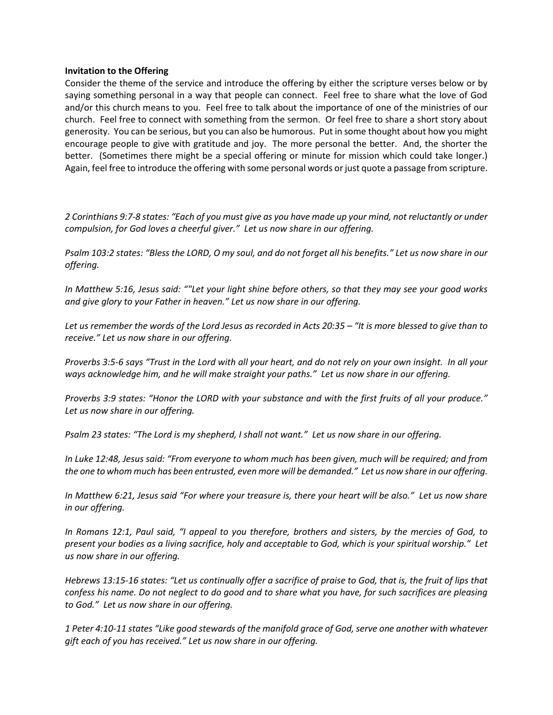### **Invitation to the Offering**

Consider the theme of the service and introduce the offering by either the scripture verses below or by saying something personal in a way that people can connect. Feel free to share what the love of God and/or this church means to you. Feel free to talk about the importance of one of the ministries of our church. Feel free to connect with something from the sermon. Or feel free to share a short story about generosity. You can be serious, but you can also be humorous. Put in some thought about how you might encourage people to give with gratitude and joy. The more personal the better. And, the shorter the better. (Sometimes there might be a special offering or minute for mission which could take longer.) Again, feel free to introduce the offering with some personal words or just quote a passage from scripture.

*2 Corinthians 9:7-8 states: "Each of you must give as you have made up your mind, not reluctantly or under compulsion, for God loves a cheerful giver." Let us now share in our offering.*

*Psalm 103:2 states: "Bless the LORD, O my soul, and do not forget all his benefits." Let us now share in our offering.*

*In Matthew 5:16, Jesus said: ""Let your light shine before others, so that they may see your good works and give glory to your Father in heaven." Let us now share in our offering.*

*Let us remember the words of the Lord Jesus as recorded in Acts 20:35 – "It is more blessed to give than to receive." Let us now share in our offering.*

*Proverbs 3:5-6 says "Trust in the Lord with all your heart, and do not rely on your own insight. In all your ways acknowledge him, and he will make straight your paths." Let us now share in our offering.*

*Proverbs 3:9 states: "Honor the LORD with your substance and with the first fruits of all your produce." Let us now share in our offering.*

*Psalm 23 states: "The Lord is my shepherd, I shall not want." Let us now share in our offering.*

*In Luke 12:48, Jesus said: "From everyone to whom much has been given, much will be required; and from the one to whom much has been entrusted, even more will be demanded." Let us now share in our offering.*

*In Matthew 6:21, Jesus said "For where your treasure is, there your heart will be also." Let us now share in our offering.* 

*In Romans 12:1, Paul said, "I appeal to you therefore, brothers and sisters, by the mercies of God, to present your bodies as a living sacrifice, holy and acceptable to God, which is your spiritual worship." Let us now share in our offering.*

*Hebrews 13:15-16 states: "Let us continually offer a sacrifice of praise to God, that is, the fruit of lips that confess his name. Do not neglect to do good and to share what you have, for such sacrifices are pleasing to God." Let us now share in our offering.*

*1 Peter 4:10-11 states "Like good stewards of the manifold grace of God, serve one another with whatever gift each of you has received." Let us now share in our offering.*